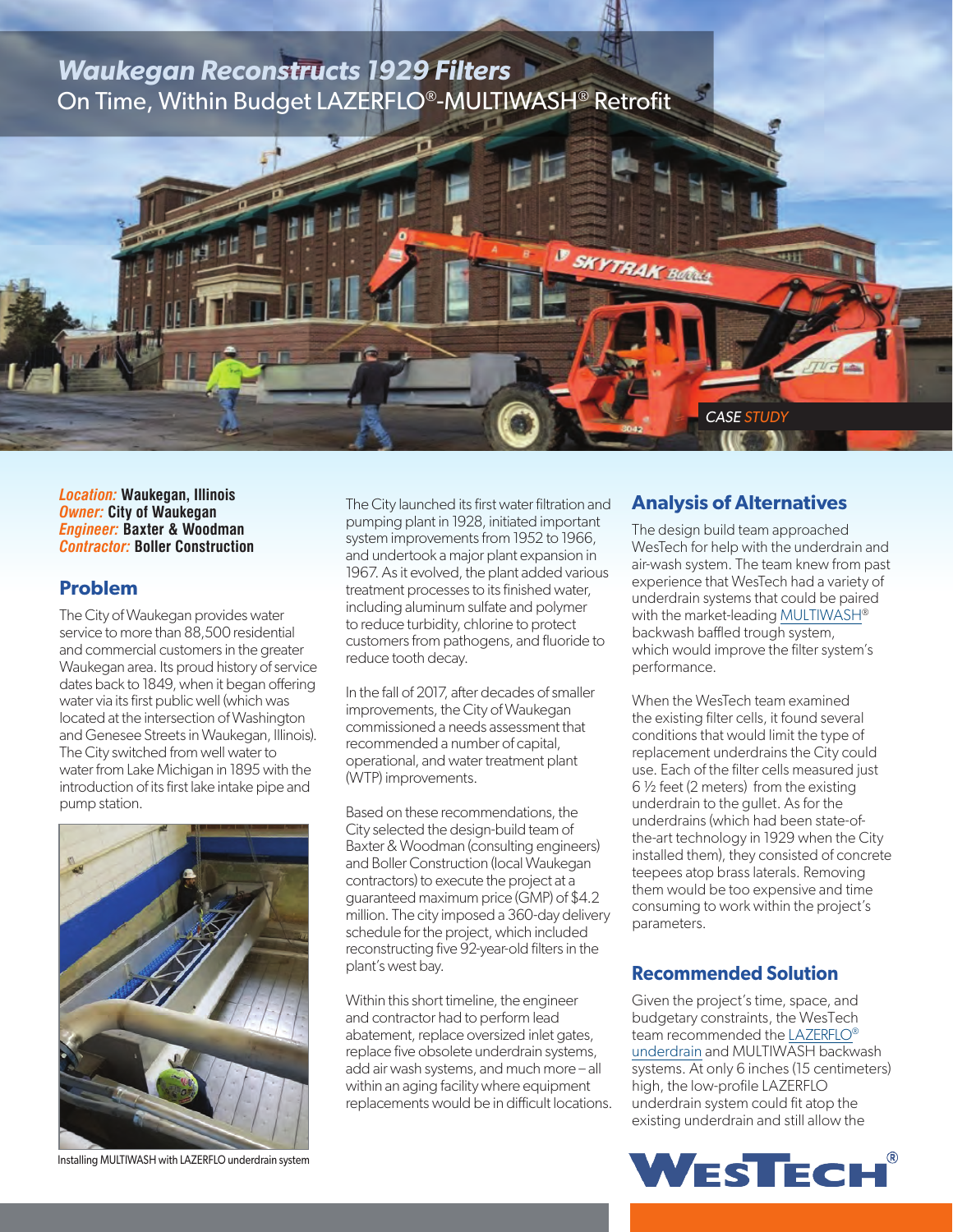# *Waukegan Reconstructs 1929 Filters* On Time, Within Budget LAZERFLO®-MULTIWASH® Retrofit

*Location:* **Waukegan, Illinois** *Owner:* **City of Waukegan** *Engineer:* **Baxter & Woodman** *Contractor:* **Boller Construction**

#### **Problem**

The City of Waukegan provides water service to more than 88,500 residential and commercial customers in the greater Waukegan area. Its proud history of service dates back to 1849, when it began offering water via its first public well (which was located at the intersection of Washington and Genesee Streets in Waukegan, Illinois). The City switched from well water to water from Lake Michigan in 1895 with the introduction of its first lake intake pipe and pump station.



Installing MULTIWASH with LAZERFLO underdrain system

The City launched its first water filtration and pumping plant in 1928, initiated important system improvements from 1952 to 1966, and undertook a major plant expansion in 1967. As it evolved, the plant added various treatment processes to its finished water, including aluminum sulfate and polymer to reduce turbidity, chlorine to protect customers from pathogens, and fluoride to reduce tooth decay.

In the fall of 2017, after decades of smaller improvements, the City of Waukegan commissioned a needs assessment that recommended a number of capital, operational, and water treatment plant (WTP) improvements.

Based on these recommendations, the City selected the design-build team of Baxter & Woodman (consulting engineers) and Boller Construction (local Waukegan contractors) to execute the project at a guaranteed maximum price (GMP) of \$4.2 million. The city imposed a 360-day delivery schedule for the project, which included reconstructing five 92-year-old filters in the plant's west bay.

Within this short timeline, the engineer and contractor had to perform lead abatement, replace oversized inlet gates, replace five obsolete underdrain systems, add air wash systems, and much more – all within an aging facility where equipment replacements would be in difficult locations.

#### **Analysis of Alternatives**

*CASE STUDY*

**SKYTRAK Bellins** 

The design build team approached WesTech for help with the underdrain and air-wash system. The team knew from past experience that WesTech had a variety of underdrain systems that could be paired with the market-leading [MULTIWASH](http://www.westech-inc.com/en-usa/products/filtration-process-multiwash)® backwash baffled trough system, which would improve the filter system's performance.

When the WesTech team examined the existing filter cells, it found several conditions that would limit the type of replacement underdrains the City could use. Each of the filter cells measured just 6 ½ feet (2 meters) from the existing underdrain to the gullet. As for the underdrains (which had been state-ofthe-art technology in 1929 when the City installed them), they consisted of concrete teepees atop brass laterals. Removing them would be too expensive and time consuming to work within the project's parameters.

#### **Recommended Solution**

Given the project's time, space, and budgetary constraints, the WesTech team recommended the [LAZERFLO](http://www.westech-inc.com/en-usa/products/lazerflo-lowprofile-underdrain-system)® [underdrain](http://www.westech-inc.com/en-usa/products/lazerflo-lowprofile-underdrain-system) and MULTIWASH backwash systems. At only 6 inches (15 centimeters) high, the low-profile LAZERFLO underdrain system could fit atop the existing underdrain and still allow the